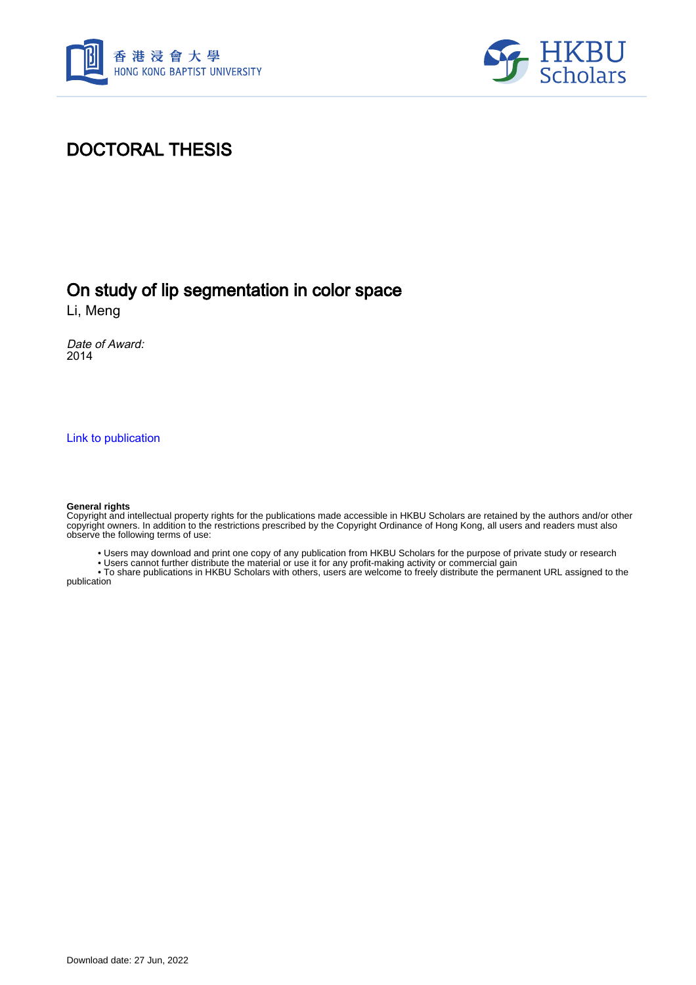



#### DOCTORAL THESIS

#### On study of lip segmentation in color space

Li, Meng

Date of Award: 2014

[Link to publication](https://scholars.hkbu.edu.hk/en/studentTheses/c53b8a39-8455-42be-b91c-695830841fb7)

#### **General rights**

Copyright and intellectual property rights for the publications made accessible in HKBU Scholars are retained by the authors and/or other copyright owners. In addition to the restrictions prescribed by the Copyright Ordinance of Hong Kong, all users and readers must also observe the following terms of use:

• Users may download and print one copy of any publication from HKBU Scholars for the purpose of private study or research

• Users cannot further distribute the material or use it for any profit-making activity or commercial gain

 • To share publications in HKBU Scholars with others, users are welcome to freely distribute the permanent URL assigned to the publication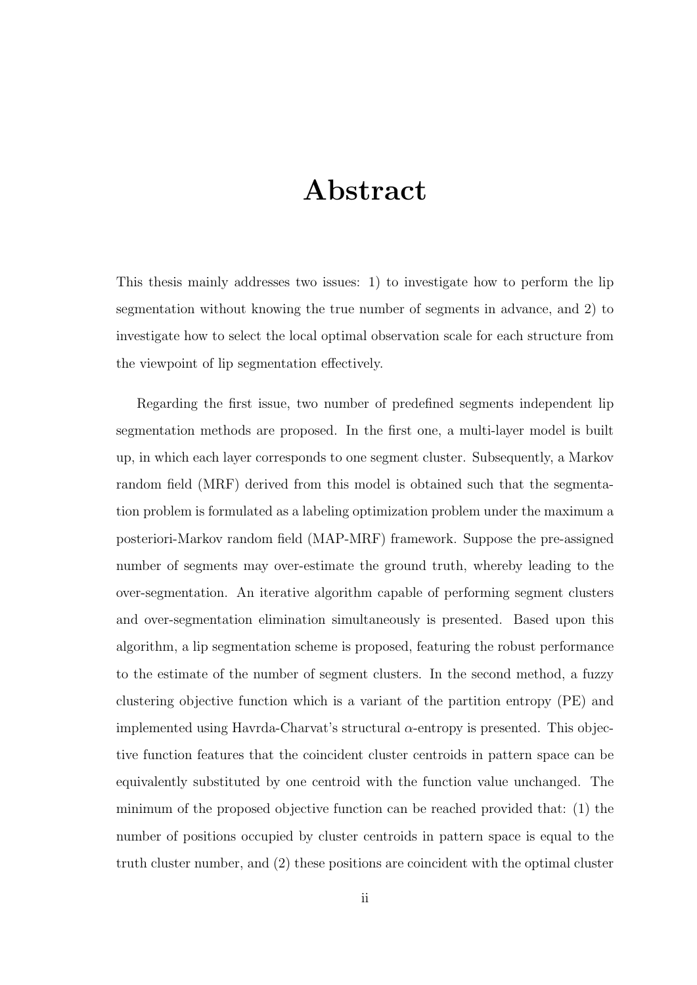## **Abstract**

This thesis mainly addresses two issues: 1) to investigate how to perform the lip segmentation without knowing the true number of segments in advance, and 2) to investigate how to select the local optimal observation scale for each structure from the viewpoint of lip segmentation effectively.

Regarding the first issue, two number of predefined segments independent lip segmentation methods are proposed. In the first one, a multi-layer model is built up, in which each layer corresponds to one segment cluster. Subsequently, a Markov random field (MRF) derived from this model is obtained such that the segmentation problem is formulated as a labeling optimization problem under the maximum a posteriori-Markov random field (MAP-MRF) framework. Suppose the pre-assigned number of segments may over-estimate the ground truth, whereby leading to the over-segmentation. An iterative algorithm capable of performing segment clusters and over-segmentation elimination simultaneously is presented. Based upon this algorithm, a lip segmentation scheme is proposed, featuring the robust performance to the estimate of the number of segment clusters. In the second method, a fuzzy clustering objective function which is a variant of the partition entropy (PE) and implemented using Havrda-Charvat's structural *α*-entropy is presented. This objective function features that the coincident cluster centroids in pattern space can be equivalently substituted by one centroid with the function value unchanged. The minimum of the proposed objective function can be reached provided that: (1) the number of positions occupied by cluster centroids in pattern space is equal to the truth cluster number, and (2) these positions are coincident with the optimal cluster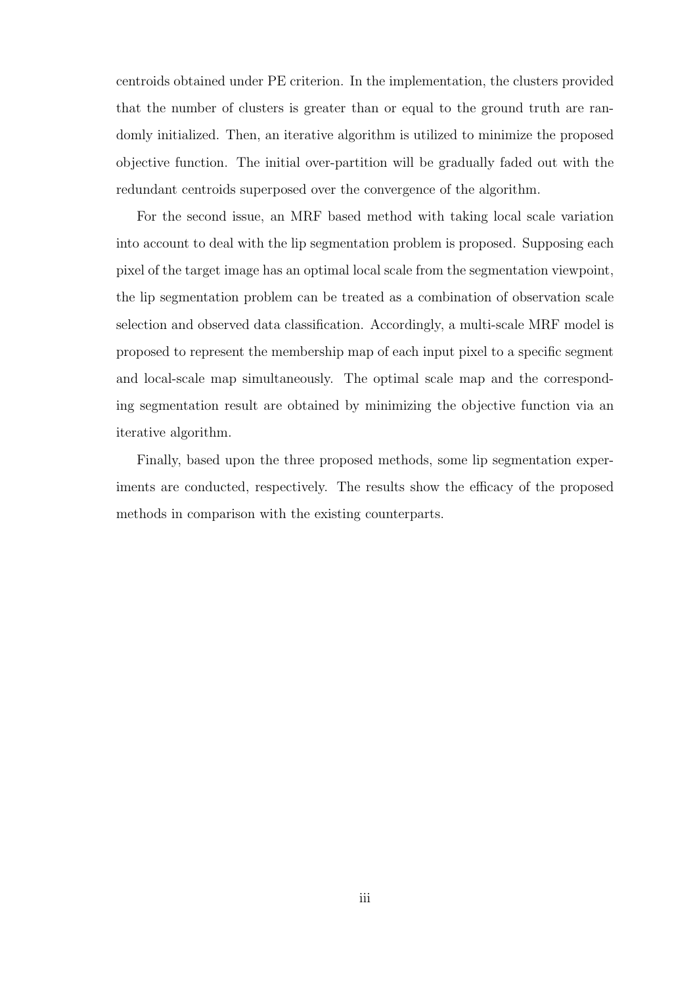centroids obtained under PE criterion. In the implementation, the clusters provided that the number of clusters is greater than or equal to the ground truth are randomly initialized. Then, an iterative algorithm is utilized to minimize the proposed objective function. The initial over-partition will be gradually faded out with the redundant centroids superposed over the convergence of the algorithm.

For the second issue, an MRF based method with taking local scale variation into account to deal with the lip segmentation problem is proposed. Supposing each pixel of the target image has an optimal local scale from the segmentation viewpoint, the lip segmentation problem can be treated as a combination of observation scale selection and observed data classification. Accordingly, a multi-scale MRF model is proposed to represent the membership map of each input pixel to a specific segment and local-scale map simultaneously. The optimal scale map and the corresponding segmentation result are obtained by minimizing the objective function via an iterative algorithm.

Finally, based upon the three proposed methods, some lip segmentation experiments are conducted, respectively. The results show the efficacy of the proposed methods in comparison with the existing counterparts.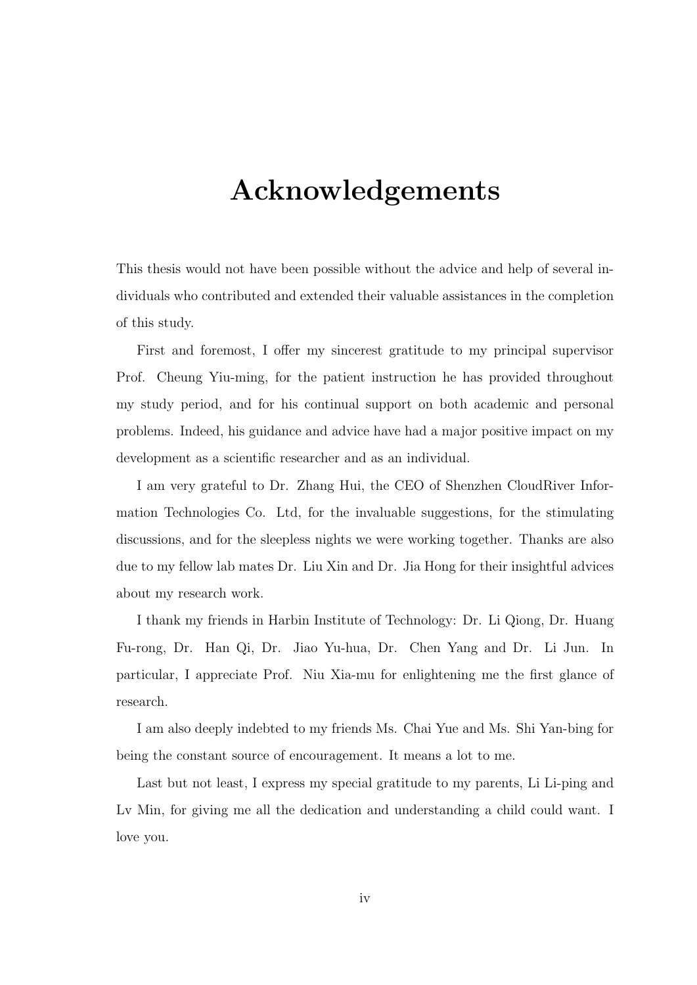## **Acknowledgements**

This thesis would not have been possible without the advice and help of several individuals who contributed and extended their valuable assistances in the completion of this study.

First and foremost, I offer my sincerest gratitude to my principal supervisor Prof. Cheung Yiu-ming, for the patient instruction he has provided throughout my study period, and for his continual support on both academic and personal problems. Indeed, his guidance and advice have had a major positive impact on my development as a scientific researcher and as an individual.

I am very grateful to Dr. Zhang Hui, the CEO of Shenzhen CloudRiver Information Technologies Co. Ltd, for the invaluable suggestions, for the stimulating discussions, and for the sleepless nights we were working together. Thanks are also due to my fellow lab mates Dr. Liu Xin and Dr. Jia Hong for their insightful advices about my research work.

I thank my friends in Harbin Institute of Technology: Dr. Li Qiong, Dr. Huang Fu-rong, Dr. Han Qi, Dr. Jiao Yu-hua, Dr. Chen Yang and Dr. Li Jun. In particular, I appreciate Prof. Niu Xia-mu for enlightening me the first glance of research.

I am also deeply indebted to my friends Ms. Chai Yue and Ms. Shi Yan-bing for being the constant source of encouragement. It means a lot to me.

Last but not least, I express my special gratitude to my parents, Li Li-ping and Lv Min, for giving me all the dedication and understanding a child could want. I love you.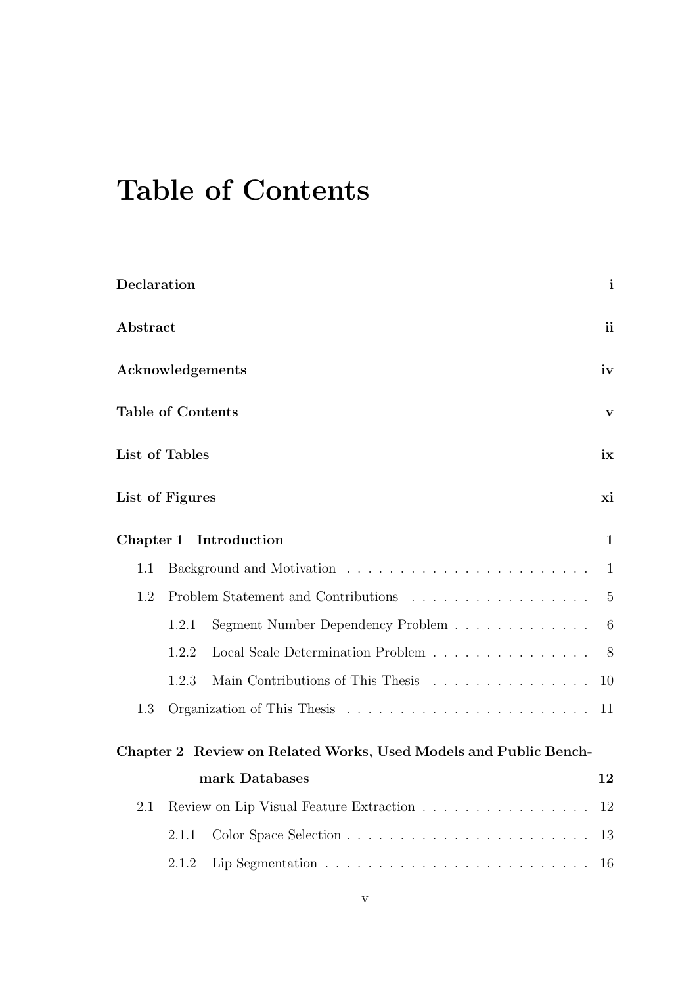# **Table of Contents**

| Declaration              |                       |                                                                            |                |  |  |
|--------------------------|-----------------------|----------------------------------------------------------------------------|----------------|--|--|
| Abstract                 |                       |                                                                            |                |  |  |
| Acknowledgements         |                       |                                                                            |                |  |  |
| <b>Table of Contents</b> |                       |                                                                            |                |  |  |
|                          | List of Tables<br>ix  |                                                                            |                |  |  |
|                          | List of Figures<br>хi |                                                                            |                |  |  |
|                          |                       | Chapter 1 Introduction                                                     | $\mathbf{1}$   |  |  |
| 1.1                      |                       |                                                                            | 1              |  |  |
| 1.2                      |                       | Problem Statement and Contributions                                        | $\overline{5}$ |  |  |
|                          | 1.2.1                 | Segment Number Dependency Problem                                          | 6              |  |  |
|                          | 1.2.2                 | Local Scale Determination Problem                                          | 8              |  |  |
|                          | 1.2.3                 | Main Contributions of This Thesis                                          | 10             |  |  |
| 1.3                      |                       |                                                                            | 11             |  |  |
|                          |                       | Chapter 2 Review on Related Works, Used Models and Public Bench-           |                |  |  |
|                          |                       | mark Databases                                                             | 12             |  |  |
| 2.1                      |                       | Review on Lip Visual Feature Extraction                                    | 12             |  |  |
|                          | 2.1.1                 |                                                                            | 13             |  |  |
|                          | 2.1.2                 | Lip Segmentation $\ldots \ldots \ldots \ldots \ldots \ldots \ldots \ldots$ | 16             |  |  |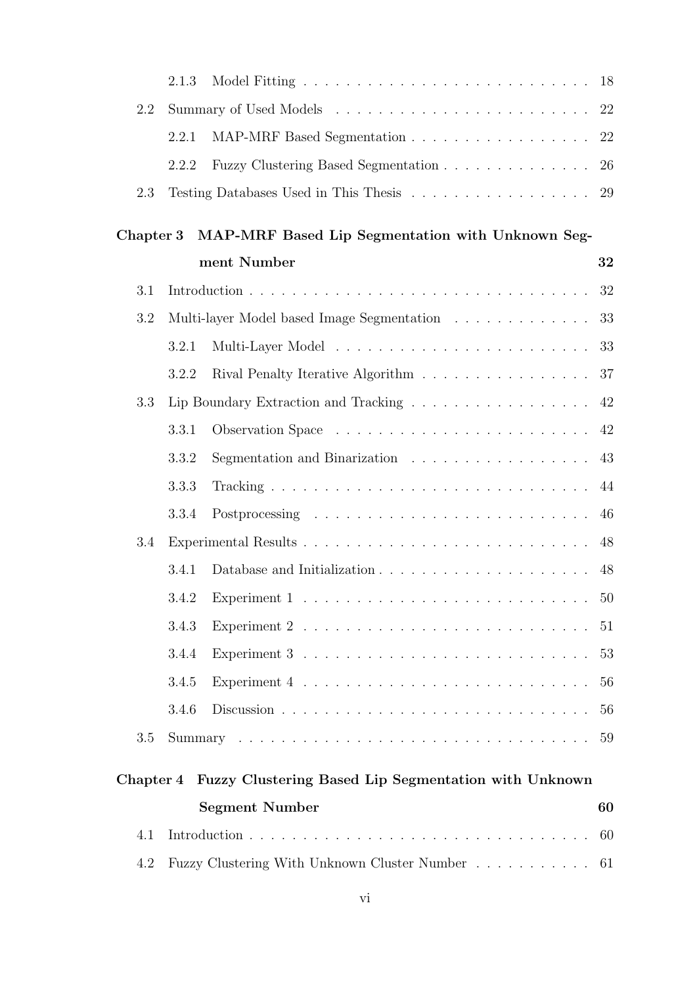|           | 2.1.3                                              |                                                                               |    |  |  |
|-----------|----------------------------------------------------|-------------------------------------------------------------------------------|----|--|--|
| 2.2       |                                                    |                                                                               |    |  |  |
|           | 2.2.1                                              | MAP-MRF Based Segmentation 22                                                 |    |  |  |
|           | 2.2.2                                              | Fuzzy Clustering Based Segmentation 26                                        |    |  |  |
| 2.3       |                                                    | Testing Databases Used in This Thesis 29                                      |    |  |  |
|           |                                                    |                                                                               |    |  |  |
| Chapter 3 |                                                    | MAP-MRF Based Lip Segmentation with Unknown Seg-<br>ment Number               |    |  |  |
|           |                                                    |                                                                               | 32 |  |  |
| 3.1       |                                                    |                                                                               | 32 |  |  |
| 3.2       |                                                    | Multi-layer Model based Image Segmentation $\ldots \ldots \ldots \ldots$      | 33 |  |  |
|           | 3.2.1                                              |                                                                               | 33 |  |  |
|           | 3.2.2                                              | Rival Penalty Iterative Algorithm                                             | 37 |  |  |
| 3.3       |                                                    | Lip Boundary Extraction and Tracking                                          | 42 |  |  |
|           | 3.3.1                                              |                                                                               | 42 |  |  |
|           | 3.3.2                                              | Segmentation and Binarization                                                 | 43 |  |  |
|           | 3.3.3                                              |                                                                               | 44 |  |  |
|           | 3.3.4                                              |                                                                               | 46 |  |  |
| 3.4       |                                                    |                                                                               | 48 |  |  |
|           | 3.4.1                                              |                                                                               | 48 |  |  |
|           |                                                    |                                                                               |    |  |  |
|           | 3.4.3                                              |                                                                               | 51 |  |  |
|           | 3.4.4                                              |                                                                               | 53 |  |  |
|           | 3.4.5                                              | Experiment $4 \ldots \ldots \ldots \ldots \ldots \ldots \ldots \ldots \ldots$ | 56 |  |  |
|           | 3.4.6                                              |                                                                               | 56 |  |  |
| 3.5       |                                                    |                                                                               | 59 |  |  |
| Chapter 4 |                                                    | Fuzzy Clustering Based Lip Segmentation with Unknown                          |    |  |  |
|           |                                                    |                                                                               |    |  |  |
|           | <b>Segment Number</b><br>60                        |                                                                               |    |  |  |
| 4.1       | 60                                                 |                                                                               |    |  |  |
| 4.2       | Fuzzy Clustering With Unknown Cluster Number<br>61 |                                                                               |    |  |  |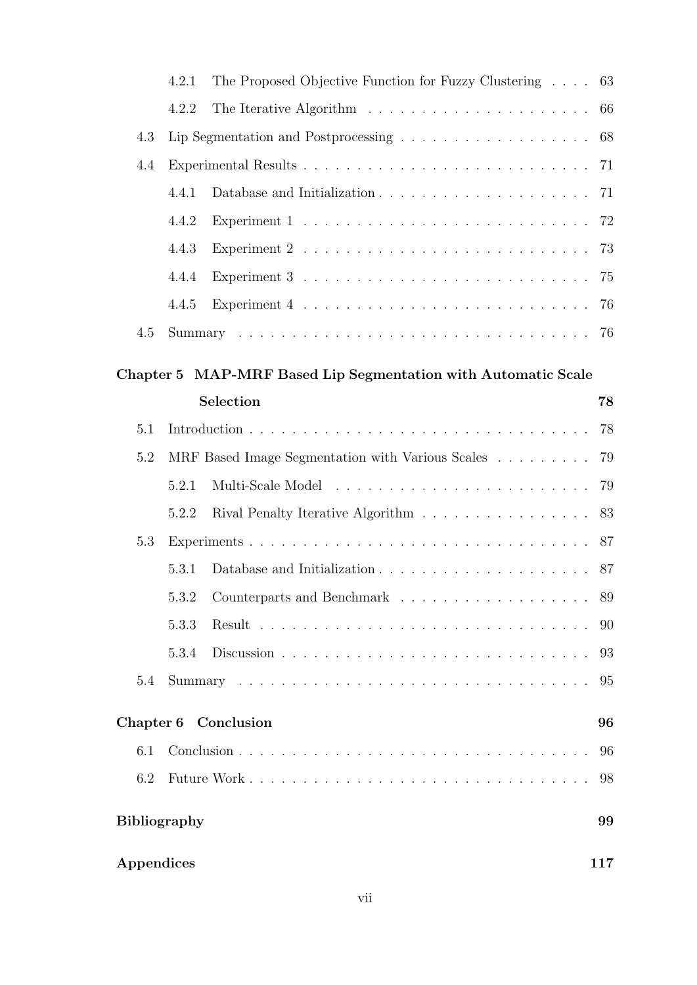|                     | 4.2.1                                                                           | The Proposed Objective Function for Fuzzy Clustering                                        | 63  |  |  |
|---------------------|---------------------------------------------------------------------------------|---------------------------------------------------------------------------------------------|-----|--|--|
|                     | 4.2.2                                                                           |                                                                                             | 66  |  |  |
| 4.3                 | Lip Segmentation and Postprocessing $\ldots \ldots \ldots \ldots \ldots \ldots$ |                                                                                             |     |  |  |
| 4.4                 |                                                                                 |                                                                                             |     |  |  |
|                     | 4.4.1                                                                           |                                                                                             | 71  |  |  |
|                     | 4.4.2                                                                           |                                                                                             |     |  |  |
|                     | 4.4.3                                                                           |                                                                                             |     |  |  |
|                     | 4.4.4                                                                           | Experiment $3 \ldots \ldots \ldots \ldots \ldots \ldots \ldots \ldots \ldots \ldots \ldots$ |     |  |  |
|                     | 4.4.5                                                                           |                                                                                             |     |  |  |
| 4.5                 |                                                                                 |                                                                                             |     |  |  |
|                     |                                                                                 | Chapter 5 MAP-MRF Based Lip Segmentation with Automatic Scale                               |     |  |  |
|                     |                                                                                 | Selection                                                                                   | 78  |  |  |
| 5.1                 |                                                                                 |                                                                                             | 78  |  |  |
| 5.2                 |                                                                                 | MRF Based Image Segmentation with Various Scales                                            | 79  |  |  |
|                     | 5.2.1                                                                           |                                                                                             |     |  |  |
|                     |                                                                                 |                                                                                             |     |  |  |
|                     | 5.2.2                                                                           | Rival Penalty Iterative Algorithm                                                           | 83  |  |  |
| 5.3                 |                                                                                 |                                                                                             | 87  |  |  |
|                     | 5.3.1                                                                           |                                                                                             | 87  |  |  |
|                     |                                                                                 |                                                                                             | 89  |  |  |
|                     | 5.3.3                                                                           |                                                                                             | 90  |  |  |
|                     | 5.3.4                                                                           |                                                                                             | 93  |  |  |
| 5.4                 |                                                                                 |                                                                                             | 95  |  |  |
|                     |                                                                                 | Chapter 6 Conclusion                                                                        | 96  |  |  |
| 6.1                 |                                                                                 |                                                                                             | 96  |  |  |
| 6.2                 |                                                                                 |                                                                                             | 98  |  |  |
| <b>Bibliography</b> |                                                                                 |                                                                                             | 99  |  |  |
| Appendices          |                                                                                 |                                                                                             | 117 |  |  |
|                     |                                                                                 |                                                                                             |     |  |  |